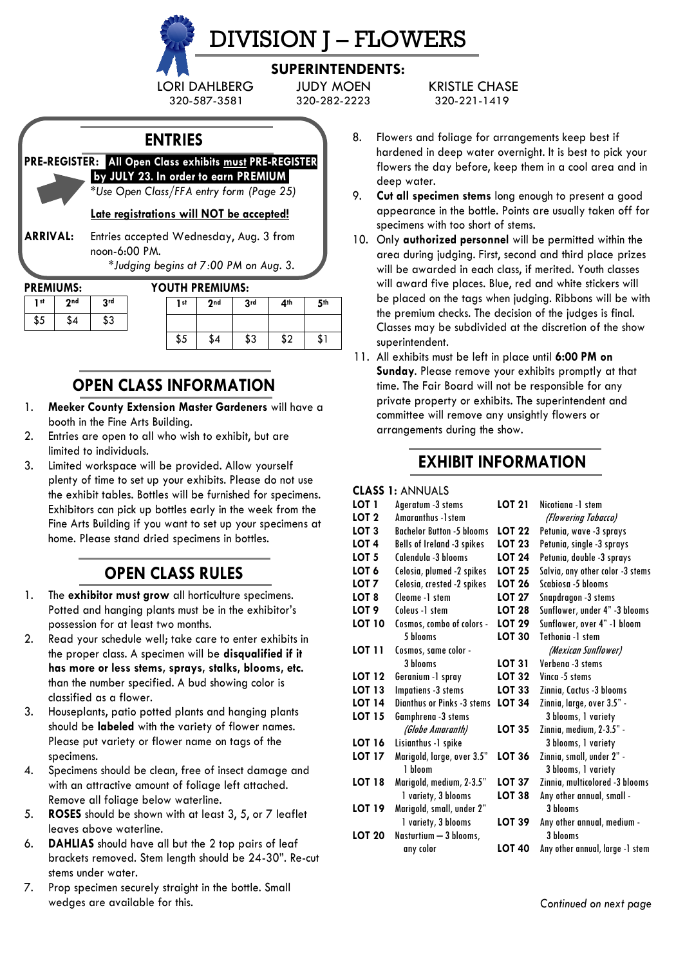

# DIVISION J – FLOWERS

# **SUPERINTENDENTS:**

320-587-3581 320-282-2223 320-221-1419

**ENTRIES**

**PRE-REGISTER:** .**All Open Class exhibits must PRE-REGISTER .by JULY 23***.* **In order to earn PREMIUM.**

*\*Use Open Class/FFA entry form (Page 25)*

**Late registrations will NOT be accepted!**

**ARRIVAL:** Entries accepted Wednesday, Aug. 3 from noon-6:00 PM.

*\*Judging begins at 7:00 PM on Aug. 3.*

| PREMIUMS: |  |  |  |  |
|-----------|--|--|--|--|
|-----------|--|--|--|--|

**1st 2nd 3rd**  $$5$   $$4$   $$3$ 

### **PREMIUMS: YOUTH PREMIUMS:**

| 1 <sub>st</sub> | 2 <sub>nd</sub> | 3 <sub>rd</sub> | 4 <sup>th</sup> | 5 <sup>th</sup> |
|-----------------|-----------------|-----------------|-----------------|-----------------|
|                 |                 |                 |                 |                 |
| \$5             | \$4             | \$3             | ¢∩<br>ъz        | لەك             |

# **OPEN CLASS INFORMATION**

- 1. **Meeker County Extension Master Gardeners** will have a booth in the Fine Arts Building.
- 2. Entries are open to all who wish to exhibit, but are limited to individuals.
- 3. Limited workspace will be provided. Allow yourself plenty of time to set up your exhibits. Please do not use the exhibit tables. Bottles will be furnished for specimens. Exhibitors can pick up bottles early in the week from the Fine Arts Building if you want to set up your specimens at home. Please stand dried specimens in bottles.

# **OPEN CLASS RULES**

- 1. The **exhibitor must grow** all horticulture specimens. Potted and hanging plants must be in the exhibitor's possession for at least two months.
- 2. Read your schedule well; take care to enter exhibits in the proper class. A specimen will be **disqualified if it has more or less stems, sprays, stalks, blooms, etc.** than the number specified. A bud showing color is classified as a flower.
- 3. Houseplants, patio potted plants and hanging plants should be **labeled** with the variety of flower names. Please put variety or flower name on tags of the specimens.
- 4. Specimens should be clean, free of insect damage and with an attractive amount of foliage left attached. Remove all foliage below waterline.
- 5. **ROSES** should be shown with at least 3, 5, or 7 leaflet leaves above waterline.
- 6. **DAHLIAS** should have all but the 2 top pairs of leaf brackets removed. Stem length should be 24-30". Re-cut stems under water.
- 7. Prop specimen securely straight in the bottle. Small wedges are available for this.

LORI DAHLBERG JUDY MOEN KRISTLE CHASE

- 8. Flowers and foliage for arrangements keep best if hardened in deep water overnight. It is best to pick your flowers the day before, keep them in a cool area and in deep water.
- 9. **Cut all specimen stems** long enough to present a good appearance in the bottle. Points are usually taken off for specimens with too short of stems.
- 10. Only **authorized personnel** will be permitted within the area during judging. First, second and third place prizes will be awarded in each class, if merited. Youth classes will award five places. Blue, red and white stickers will be placed on the tags when judging. Ribbons will be with the premium checks. The decision of the judges is final. Classes may be subdivided at the discretion of the show superintendent.
- 11. All exhibits must be left in place until **6:00 PM on Sunday**. Please remove your exhibits promptly at that time. The Fair Board will not be responsible for any private property or exhibits. The superintendent and committee will remove any unsightly flowers or arrangements during the show.

# **EXHIBIT INFORMATION**

#### **CLASS 1:** ANNUALS

| LOT 1         | Ageratum -3 stems                 | <b>LOT 21</b> | Nicotiana -1 stem                |
|---------------|-----------------------------------|---------------|----------------------------------|
| LOT 2         | Amaranthus -1 stem                |               | (Flowering Tobacco)              |
| LOT 3         | <b>Bachelor Button -5 blooms</b>  | <b>LOT 22</b> | Petunia, wave -3 sprays          |
| LOT 4         | Bells of Ireland -3 spikes        | <b>LOT 23</b> | Petunia, single -3 sprays        |
| LOT 5         | Calendula -3 blooms               | <b>LOT 24</b> | Petunia, double -3 sprays        |
| LOT 6         | Celosia, plumed -2 spikes         | <b>LOT 25</b> | Salvia, any other color -3 stems |
| LOT 7         | Celosia, crested -2 spikes        | <b>LOT 26</b> | Scabiosa -5 blooms               |
| LOT 8         | Cleome -1 stem                    | <b>LOT 27</b> | Snapdragon -3 stems              |
| LOT 9         | Coleus -1 stem                    | <b>LOT 28</b> | Sunflower, under 4" -3 blooms    |
| LOT 10        | Cosmos, combo of colors -         | <b>LOT 29</b> | Sunflower, over 4" -1 bloom      |
|               | 5 blooms                          | LOT 30        | Tethonia -1 stem                 |
| LOT 11        | Cosmos, same color -              |               | (Mexican Sunflower)              |
|               | 3 hlooms                          | <b>LOT 31</b> | Verheng -3 stems                 |
| LOT 12        | Geranium -1 spray                 | <b>LOT 32</b> | Vinca -5 stems                   |
| LOT 13        | Impatiens -3 stems                | <b>LOT 33</b> | Zinnia, Cactus -3 blooms         |
| LOT 14        | <b>Dianthus or Pinks -3 stems</b> | <b>LOT 34</b> | Zinnia, large, over 3.5" -       |
| LOT 15        | Gamphrena -3 stems                |               | 3 blooms, 1 variety              |
|               | (Globe Amaranth)                  | <b>LOT 35</b> | Zinnia, medium, 2-3.5" -         |
| LOT 16        | Lisianthus -1 spike               |               | 3 blooms, 1 variety              |
| LOT 17        | Marigold, large, over 3.5"        | <b>LOT 36</b> | Zinnia, small, under 2" -        |
|               | 1 hloom                           |               | 3 blooms, 1 variety              |
| LOT 18        | Marigold, medium, 2-3.5"          | <b>LOT 37</b> | Zinnia, multicolored -3 blooms   |
|               | 1 variety, 3 blooms               | <b>LOT 38</b> | Any other annual, small -        |
| LOT 19        | Marigold, small, under 2"         |               | 3 hlooms                         |
|               | 1 variety, 3 blooms               | LOT 39        | Any other annual, medium -       |
| <b>LOT 20</b> | Nasturtium - 3 blooms,            |               | 3 blooms                         |
|               | any color                         | <b>LOT 40</b> | Any other annual, large -1 stem  |
|               |                                   |               |                                  |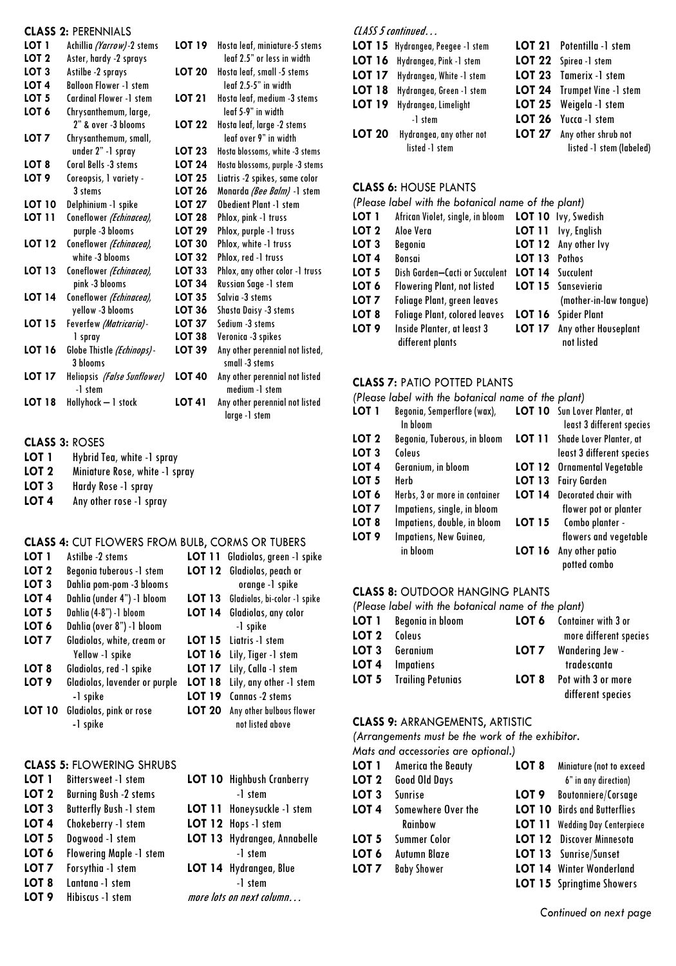|                  | <b>CLASS 2: PERENNIALS</b>    |               |                                   |
|------------------|-------------------------------|---------------|-----------------------------------|
| LOT <sub>1</sub> | Achillia (Yarrow)-2 stems     | LOT 19        | Hosta leaf, miniature-5 stems     |
| LOT <sub>2</sub> | Aster, hardy -2 sprays        |               | leaf 2.5" or less in width        |
| LOT <sub>3</sub> | Astilbe -2 sprays             | <b>LOT 20</b> | Hosta leaf, small -5 stems        |
| LOT <sub>4</sub> | <b>Balloon Flower -1 stem</b> |               | leaf 2.5-5" in width              |
| LOT <sub>5</sub> | Cardinal Flower -1 stem       | <b>LOT 21</b> | Hosta leaf, medium -3 stems       |
| LOT <sub>6</sub> | Chrysanthemum, large,         |               | leaf 5-9" in width                |
|                  | 2" & over -3 blooms           | <b>LOT 22</b> | Hosta leaf, large -2 stems        |
| LOT 7            | Chrysanthemum, small,         |               | leaf over 9" in width             |
|                  | under 2" -1 spray             | <b>LOT 23</b> | Hosta blossoms, white -3 stems    |
| LOT 8            | Coral Bells -3 stems          | LOT 24        | Hosta blossoms, purple -3 stems   |
| LOT <sub>9</sub> | Coreopsis, I variety -        | <b>LOT 25</b> | Liatris -2 spikes, same color     |
|                  | 3 stems                       | <b>LOT 26</b> | Monarda <i>(Bee Balm)</i> -1 stem |
| <b>LOT 10</b>    | Delphinium -1 spike           | LOT 27        | <b>Obedient Plant -1 stem</b>     |
| LOT 11           | Coneflower (Echinacea),       | <b>LOT 28</b> | Phlox, pink -1 truss              |
|                  | purple -3 blooms              | <b>LOT 29</b> | Phlox, purple -1 truss            |
| <b>LOT 12</b>    | Coneflower (Echinacea),       | <b>LOT 30</b> | Phlox, white -1 truss             |
|                  | white -3 blooms               | LOT 32        | Phlox, red -1 truss               |
| <b>LOT 13</b>    | Coneflower (Echinacea),       | LOT 33        | Phlox, any other color -1 truss   |
|                  | pink -3 blooms                | <b>LOT 34</b> | Russian Sage -1 stem              |
| <b>LOT 14</b>    | Coneflower (Echinacea),       | <b>LOT 35</b> | Salvia -3 stems                   |
|                  | yellow -3 blooms              | <b>LOT 36</b> | Shasta Daisy -3 stems             |
| <b>LOT 15</b>    | Feverfew (Matricaria)-        | <b>LOT 37</b> | Sedium -3 stems                   |
|                  | 1 spray                       | LOT 38        | Veronica -3 spikes                |
| <b>LOT 16</b>    | Globe Thistle (Echinops)-     | <b>LOT 39</b> | Any other perennial not listed,   |
|                  | 3 blooms                      |               | small -3 stems                    |
| <b>LOT 17</b>    | Heliopsis (False Sunflower)   | <b>LOT 40</b> | Any other perennial not listed    |
|                  | -1 stem                       |               | medium -1 stem                    |
| <b>LOT 18</b>    | Hollyhock - 1 stock           | <b>LOT 41</b> | Any other perennial not listed    |
|                  |                               |               | larae -1 stem                     |

# **CLASS 3: ROSES**<br>**LOT 1** Hybrid To

- Hybrid Tea, white -1 spray
- **LOT 2** Miniature Rose, white -1 spray
- **LOT 3** Hardy Rose -1 spray<br>**LOT 4** Any other rose -1 spr
- Any other rose -1 spray

#### **CLASS 4:** CUT FLOWERS FROM BULB, CORMS OR TUBERS

| LOT <sub>1</sub> | Astilbe -2 stems              |               | <b>LOT 11</b> Gladiolas, green -1 spike |
|------------------|-------------------------------|---------------|-----------------------------------------|
| LOT <sub>2</sub> | Begonia tuberous -1 stem      |               | LOT 12 Gladiolas, peach or              |
| LOT <sub>3</sub> | Dahlia pom-pom -3 blooms      |               | orange -1 spike                         |
| LOT <sub>4</sub> | Dahlia (under 4") -1 bloom    | <b>LOT 13</b> | Gladiolas, bi-color -1 spike            |
| LOT <sub>5</sub> | Dahlia (4-8") -1 bloom        | <b>LOT 14</b> | Gladiolas, any color                    |
| LOT 6            | Dahlia (over 8") -1 bloom     |               | -1 spike                                |
| LOT <sub>7</sub> | Gladiolas, white, cream or    |               | <b>LOT 15</b> Lightris -1 stem          |
|                  | Yellow -1 spike               |               | <b>LOT 16</b> Lily, Tiger -1 stem       |
| LOT 8            | Gladiolas, red -1 spike       |               | LOT 17 Lily, Calla -1 stem              |
| LOT <sub>9</sub> | Gladiolas, lavender or purple | <b>LOT 18</b> | Lily, any other -1 stem                 |
|                  | -1 spike                      | <b>LOT 19</b> | Cannas -2 stems                         |
| <b>LOT 10</b>    | Gladiolas, pink or rose       | <b>LOT 20</b> | Any other bulbous flower                |
|                  | -1 spike                      |               | not listed above                        |

#### **CLASS 5:** FLOWERING SHRUBS

| LOT <sub>1</sub> | Bittersweet -1 stem            | <b>LOT 10</b> Highbush Cranberry |
|------------------|--------------------------------|----------------------------------|
| LOT <sub>2</sub> | <b>Burning Bush -2 stems</b>   | -1 stem                          |
| LOT <sub>3</sub> | <b>Butterfly Bush -1 stem</b>  | LOT 11 Honeysuckle -1 stem       |
| LOT <sub>4</sub> | Chokeberry -1 stem             | LOT 12 Hops -1 stem              |
| LOT <sub>5</sub> | Dogwood -1 stem                | LOT 13 Hydrangea, Annabelle      |
| LOT <sub>6</sub> | <b>Flowering Maple -1 stem</b> | -1 stem                          |
| LOT <sub>7</sub> | Forsythia -1 stem              | LOT 14 Hydrangea, Blue           |
| LOT <sub>8</sub> | Lantana -1 stem                | -1 stem                          |
| LOT <sub>9</sub> | Hibiscus -1 stem               | more lots on next column         |

## CLASS 5 continued…

| LOT 15 Hydrangea, Peegee -1 stem | LOT 21 Potentilla -1 stem   |
|----------------------------------|-----------------------------|
| LOT 16 Hydrangea, Pink -1 stem   | LOT 22 Spirea -1 stem       |
| LOT 17 Hydrangea, White -1 stem  | LOT 23 Tamerix -1 stem      |
| LOT 18 Hydrangea, Green -1 stem  | LOT 24 Trumpet Vine -1 stem |
| LOT 19 Hydrangea, Limelight      | LOT 25 Weigela -1 stem      |
| -1 stem                          | LOT 26 Yucca -1 stem        |
| LOT 20 Hydrangea, any other not  | LOT 27 Any other shrub not  |
| listed -1 stem                   | listed -1 stem (labeled)    |

### **CLASS 6:** HOUSE PLANTS

| (Please label with the botanical name of the plant) |                                                      |               |                                    |
|-----------------------------------------------------|------------------------------------------------------|---------------|------------------------------------|
| LOT 1                                               | African Violet, single, in bloom LOT 10 lvy, Swedish |               |                                    |
| LOT <sub>2</sub>                                    | Aloe Vera                                            |               | LOT 11 Ivy, English                |
| LOT <sub>3</sub>                                    | Begonia                                              |               | LOT 12 Any other lvy               |
| LOT <sub>4</sub>                                    | Bonsai                                               | LOT 13 Pothos |                                    |
| LOT <sub>5</sub>                                    | Dish Garden—Cacti or Succulent                       |               | <b>LOT 14</b> Succulent            |
| LOT <sub>6</sub>                                    | <b>Flowering Plant, not listed</b>                   |               | <b>LOT 15</b> Sansevieria          |
| LOT <sub>7</sub>                                    | <b>Foliage Plant, green leaves</b>                   |               | (mother-in-law tonque)             |
| LOT 8                                               | <b>Foliage Plant, colored leaves</b>                 |               | <b>LOT 16</b> Spider Plant         |
| LOT <sub>9</sub>                                    | Inside Planter, at least 3<br>different plants       | <b>LOT 17</b> | Any other Houseplant<br>not listed |

## **CLASS 7:** PATIO POTTED PLANTS

|                  | (Please label with the botanical name of the plant) |               |                                    |
|------------------|-----------------------------------------------------|---------------|------------------------------------|
| LOT 1            | Begonia, Semperflore (wax),                         |               | LOT 10 Sun Lover Planter, at       |
|                  | In bloom                                            |               | least 3 different species          |
| LOT <sub>2</sub> | Begonia, Tuberous, in bloom                         |               | LOT 11 Shade Lover Planter, at     |
| LOT <sub>3</sub> | Coleus                                              |               | least 3 different species          |
| LOT <sub>4</sub> | Geranium, in bloom                                  |               | <b>LOT 12</b> Ornamental Vegetable |
| LOT <sub>5</sub> | Herb                                                | <b>LOT 13</b> | <b>Fairy Garden</b>                |
| LOT <sub>6</sub> | Herbs, 3 or more in container                       | <b>LOT 14</b> | Decorated chair with               |
| LOT <sub>7</sub> | Impatiens, single, in bloom                         |               | flower pot or planter              |
| LOT <sub>8</sub> | Impatiens, double, in bloom                         | <b>LOT 15</b> | Combo planter -                    |
| LOT <sub>9</sub> | Impatiens, New Guinea,                              |               | flowers and vegetable              |
|                  | in bloom                                            | <b>LOT 16</b> | Any other patio<br>potted combo    |

## **CLASS 8:** OUTDOOR HANGING PLANTS

*(Please label with the botanical name of the plant)*

|              | <b>LOT 1</b> Begonia in bloom  |       | <b>LOT 6</b> Container with 3 or |
|--------------|--------------------------------|-------|----------------------------------|
| LOT 2 Coleus |                                |       | more different species           |
| LOT 3        | Geranium                       | LOT 7 | <b>Wandering Jew -</b>           |
| LOT 4        | Impatiens                      |       | tradescanta                      |
|              | <b>LOT 5</b> Trailing Petunias | LOT 8 | Pot with 3 or more               |
|              |                                |       | different species                |

#### **CLASS 9:** ARRANGEMENTS, ARTISTIC

*(Arrangements must be the work of the exhibitor.*

*Mats and accessories are optional.)*

| LOT 1 | <b>America the Beauty</b> | LOT 8 | Miniature (not to exceed              |
|-------|---------------------------|-------|---------------------------------------|
| LOT 2 | Good Old Days             |       | 6" in any direction)                  |
| LOT 3 | Sunrise                   |       | LOT 9 Boutonniere/Corsage             |
| LOT 4 | Somewhere Over the        |       | <b>LOT 10</b> Birds and Butterflies   |
|       | <b>Rainbow</b>            |       | <b>LOT 11</b> Wedding Day Centerpiece |
| LOT 5 | Summer Color              |       | <b>LOT 12</b> Discover Minnesota      |
| LOT 6 | Autumn Blaze              |       | LOT 13 Sunrise/Sunset                 |
| LOT 7 | <b>Baby Shower</b>        |       | <b>LOT 14</b> Winter Wonderland       |
|       |                           |       | <b>LOT 15</b> Springtime Showers      |

*Continued on next page*